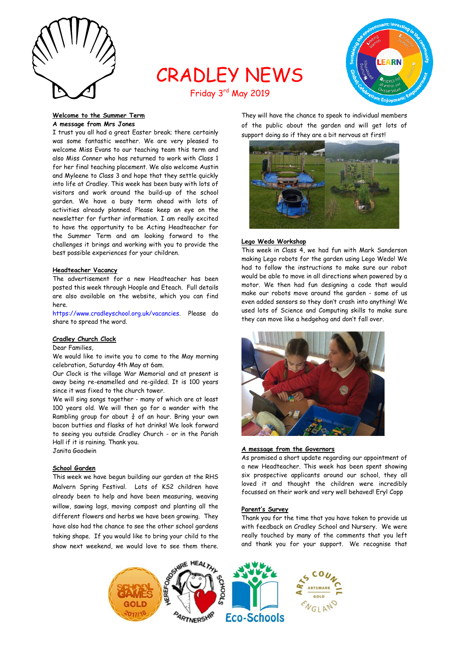

# CRADLEY NEWS Friday 3rd May 2019



**Welcome to the Summer Term A message from Mrs Jones**

I trust you all had a great Easter break; there certainly was some fantastic weather. We are very pleased to welcome Miss Evans to our teaching team this term and also Miss Conner who has returned to work with Class 1 for her final teaching placement. We also welcome Austin and Myleene to Class 3 and hope that they settle quickly into life at Cradley. This week has been busy with lots of visitors and work around the build-up of the school garden. We have a busy term ahead with lots of activities already planned. Please keep an eye on the newsletter for further information. I am really excited to have the opportunity to be Acting Headteacher for the Summer Term and am looking forward to the challenges it brings and working with you to provide the best possible experiences for your children.

## **Headteacher Vacancy**

The advertisement for a new Headteacher has been posted this week through Hoople and Eteach. Full details are also available on the website, which you can find here.

[https://www.cradleyschool.org.uk/vacancies.](https://www.cradleyschool.org.uk/vacancies) Please do share to spread the word.

#### **Cradley Church Clock**

# Dear Families,

We would like to invite you to come to the May morning celebration, Saturday 4th May at 6am.

Our Clock is the village War Memorial and at present is away being re-enamelled and re-gilded. It is 100 years since it was fixed to the church tower.

We will sing songs together - many of which are at least 100 years old. We will then go for a wander with the Rambling group for about  $\frac{3}{4}$  of an hour. Bring your own bacon butties and flasks of hot drinks! We look forward to seeing you outside Cradley Church - or in the Parish Hall if it is raining. Thank you.

Janita Goodwin

# **School Garden**

This week we have begun building our garden at the RHS Malvern Spring Festival. Lots of KS2 children have already been to help and have been measuring, weaving willow, sawing logs, moving compost and planting all the different flowers and herbs we have been growing. They have also had the chance to see the other school gardens taking shape. If you would like to bring your child to the show next weekend, we would love to see them there.

They will have the chance to speak to individual members of the public about the garden and will get lots of support doing so if they are a bit nervous at first!



#### **Lego Wedo Workshop**

This week in Class 4, we had fun with Mark Sanderson making Lego robots for the garden using Lego Wedo! We had to follow the instructions to make sure our robot would be able to move in all directions when powered by a motor. We then had fun designing a code that would make our robots move around the garden - some of us even added sensors so they don't crash into anything! We used lots of Science and Computing skills to make sure they can move like a hedgehog and don't fall over.



#### **A message from the Governors**

As promised a short update regarding our appointment of a new Headteacher. This week has been spent showing six prospective applicants around our school, they all loved it and thought the children were incredibly focussed on their work and very well behaved! Eryl Copp

#### **Parent's Survey**

Thank you for the time that you have taken to provide us with feedback on Cradley School and Nursery. We were really touched by many of the comments that you left and thank you for your support. We recognise that

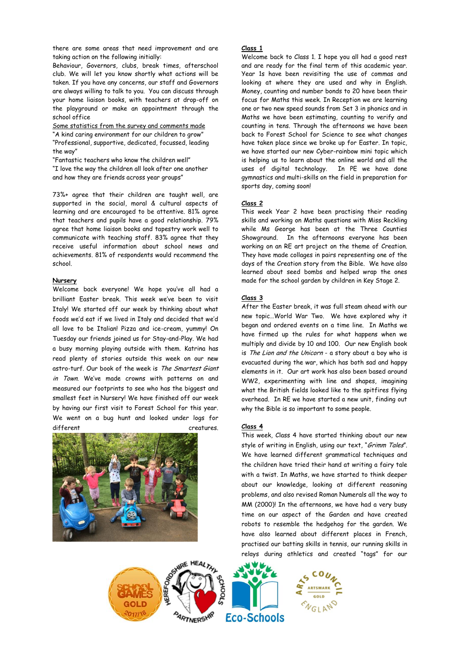there are some areas that need improvement and are taking action on the following initially:

Behaviour, Governors, clubs, break times, afterschool club. We will let you know shortly what actions will be taken. If you have any concerns, our staff and Governors are always willing to talk to you. You can discuss through your home liaison books, with teachers at drop-off on the playground or make an appointment through the school office

Some statistics from the survey and comments made "A kind caring environment for our children to grow" "Professional, supportive, dedicated, focussed, leading the way"

"Fantastic teachers who know the children well" "I love the way the children all look after one another and how they are friends across year groups"

73%+ agree that their children are taught well, are supported in the social, moral & cultural aspects of learning and are encouraged to be attentive. 81% agree that teachers and pupils have a good relationship. 79% agree that home liaison books and tapestry work well to communicate with teaching staff. 83% agree that they receive useful information about school news and achievements. 81% of respondents would recommend the school.

## **Nursery**

Welcome back everyone! We hope you've all had a brilliant Easter break. This week we've been to visit Italy! We started off our week by thinking about what foods we'd eat if we lived in Italy and decided that we'd all love to be Italian! Pizza and ice-cream, yummy! On Tuesday our friends joined us for Stay-and-Play. We had a busy morning playing outside with them. Katrina has read plenty of stories outside this week on our new astro-turf. Our book of the week is The Smartest Giant in Town. We've made crowns with patterns on and measured our footprints to see who has the biggest and smallest feet in Nursery! We have finished off our week by having our first visit to Forest School for this year. We went on a bug hunt and looked under logs for different creatures.



# **Class 1**

Welcome back to Class 1. I hope you all had a good rest and are ready for the final term of this academic year. Year 1s have been revisiting the use of commas and looking at where they are used and why in English. Money, counting and number bonds to 20 have been their focus for Maths this week. In Reception we are learning one or two new speed sounds from Set 3 in phonics and in Maths we have been estimating, counting to verify and counting in tens. Through the afternoons we have been back to Forest School for Science to see what changes have taken place since we broke up for Easter. In topic, we have started our new Cyber-rainbow mini topic which is helping us to learn about the online world and all the uses of digital technology. In PE we have done gymnastics and multi-skills on the field in preparation for sports day, coming soon!

## **Class 2**

This week Year 2 have been practising their reading skills and working on Maths questions with Miss Reckling while Ms George has been at the Three Counties Showground. In the afternoons everyone has been working on an RE art project on the theme of Creation. They have made collages in pairs representing one of the days of the Creation story from the Bible. We have also learned about seed bombs and helped wrap the ones made for the school garden by children in Key Stage 2.

## **Class 3**

After the Easter break, it was full steam ahead with our new topic…World War Two. We have explored why it began and ordered events on a time line. In Maths we have firmed up the rules for what happens when we multiply and divide by 10 and 100. Our new English book is The Lion and the Unicorn - a story about a boy who is evacuated during the war, which has both sad and happy elements in it. Our art work has also been based around WW2, experimenting with line and shapes, imagining what the British fields looked like to the spitfires flying overhead. In RE we have started a new unit, finding out why the Bible is so important to some people.

## **Class 4**

This week, Class 4 have started thinking about our new style of writing in English, using our text, "Grimm Tales". We have learned different grammatical techniques and the children have tried their hand at writing a fairy tale with a twist. In Maths, we have started to think deeper about our knowledge, looking at different reasoning problems, and also revised Roman Numerals all the way to MM (2000)! In the afternoons, we have had a very busy time on our aspect of the Garden and have created robots to resemble the hedgehog for the garden. We have also learned about different places in French, practised our batting skills in tennis, our running skills in relays during athletics and created "tags" for our



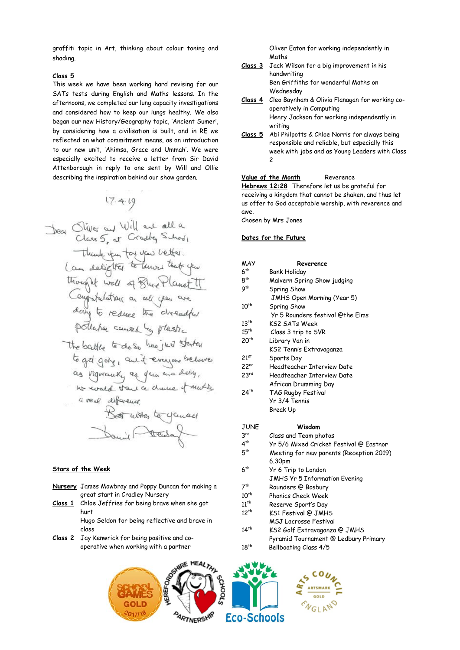graffiti topic in Art, thinking about colour toning and shading.

# **Class 5**

This week we have been working hard revising for our SATs tests during English and Maths lessons. In the afternoons, we completed our lung capacity investigations and considered how to keep our lungs healthy. We also began our new History/Geography topic, 'Ancient Sumer', by considering how a civilisation is built, and in RE we reflected on what commitment means, as an introduction to our new unit, 'Ahimsa, Grace and Ummah'. We were especially excited to receive a letter from Sir David Attenborough in reply to one sent by Will and Ollie describing the inspiration behind our show garden.

 $17.4.19$ 

# **Stars of the Week**

- **Nursery** James Mowbray and Poppy Duncan for making a great start in Cradley Nursery
- **Class 1** Chloe Jeffries for being brave when she got hurt

Hugo Seldon for being reflective and brave in class

**Class 2** Jay Kenwrick for being positive and cooperative when working with a partner

Oliver Eaton for working independently in Maths

- **Class 3** Jack Wilson for a big improvement in his handwriting Ben Griffiths for wonderful Maths on Wednesday
- **Class 4** Cleo Baynham & Olivia Flanagan for working cooperatively in Computing Henry Jackson for working independently in writing
- **Class 5** Abi Philpotts & Chloe Norris for always being responsible and reliable, but especially this week with jobs and as Young Leaders with Class  $\overline{\phantom{0}}$

### **Value of the Month** Reverence

**[Hebrews 12:28](https://www.biblegateway.com/passage/?search=Hebrews+12%3A28&version=ESV)** Therefore let us be grateful for receiving a kingdom that cannot be shaken, and thus let us offer to God acceptable worship, with reverence and awe.

Chosen by Mrs Jones

# **Dates for the Future**

| MAY              | Reverence                                |
|------------------|------------------------------------------|
| 6 <sup>th</sup>  | Bank Holiday                             |
| 8 <sup>th</sup>  | Malvern Spring Show judging              |
| 9 <sup>th</sup>  | Spring Show                              |
|                  | JMHS Open Morning (Year 5)               |
| $10^{th}$        | Spring Show                              |
|                  | Yr 5 Rounders festival @the Elms         |
| $13^{th}$        | KS2 SATs Week                            |
| $15^{th}$        | Class 3 trip to SVR                      |
| 20 <sup>th</sup> | Library Van in                           |
|                  | KS2 Tennis Extravaganza                  |
| 21 <sup>st</sup> | Sports Day                               |
| 22 <sup>nd</sup> | Headteacher Interview Date               |
| 23 <sup>rd</sup> | Headteacher Interview Date               |
|                  | African Drumming Day                     |
| $24^{th}$        | TAG Rugby Festival                       |
|                  | Yr 3/4 Tennis                            |
|                  | Break Up                                 |
| <b>JUNE</b>      | Wisdom                                   |
| $3^{\text{rd}}$  |                                          |
|                  | Class and Team photos                    |
| $4^{th}$         | Yr 5/6 Mixed Cricket Festival @ Eastnor  |
| 5 <sup>th</sup>  | Meeting for new parents (Reception 2019) |
|                  | 6.30pm                                   |
| 6 <sup>th</sup>  | Yr 6 Trip to London                      |

- JMHS Yr 5 Information Evening
- $7<sup>th</sup>$ Rounders @ Bosbury
- 10<sup>th</sup> Phonics Check Week
- 11<sup>th</sup> Reserve Sport's Day
- 12<sup>th</sup> KS1 Festival @ JMHS
- MSJ Lacrosse Festival<br>14<sup>th</sup> KS2 Golf Extravaganze
- KS2 Golf Extravaganza @ JMHS Pyramid Tournament @ Ledbury Primary
- $18^{th}$ Bellboating Class 4/5